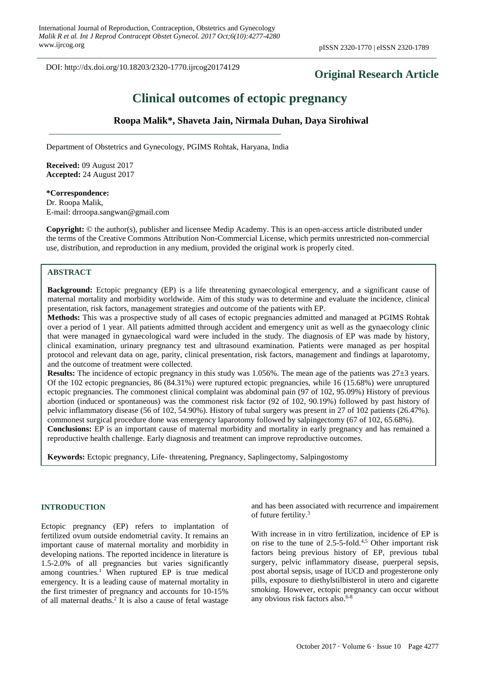DOI: http://dx.doi.org/10.18203/2320-1770.ijrcog20174129

## **Original Research Article**

# **Clinical outcomes of ectopic pregnancy**

## **Roopa Malik\*, Shaveta Jain, Nirmala Duhan, Daya Sirohiwal**

Department of Obstetrics and Gynecology, PGIMS Rohtak, Haryana, India

**Received:** 09 August 2017 **Accepted:** 24 August 2017

#### **\*Correspondence:**

Dr. Roopa Malik, E-mail: drroopa.sangwan@gmail.com

**Copyright:** © the author(s), publisher and licensee Medip Academy. This is an open-access article distributed under the terms of the Creative Commons Attribution Non-Commercial License, which permits unrestricted non-commercial use, distribution, and reproduction in any medium, provided the original work is properly cited.

### **ABSTRACT**

**Background:** Ectopic pregnancy (EP) is a life threatening gynaecological emergency, and a significant cause of maternal mortality and morbidity worldwide. Aim of this study was to determine and evaluate the incidence, clinical presentation, risk factors, management strategies and outcome of the patients with EP.

**Methods:** This was a prospective study of all cases of ectopic pregnancies admitted and managed at PGIMS Rohtak over a period of 1 year. All patients admitted through accident and emergency unit as well as the gynaecology clinic that were managed in gynaecological ward were included in the study. The diagnosis of EP was made by history, clinical examination, urinary pregnancy test and ultrasound examination. Patients were managed as per hospital protocol and relevant data on age, parity, clinical presentation, risk factors, management and findings at laparotomy, and the outcome of treatment were collected.

**Results:** The incidence of ectopic pregnancy in this study was 1.056%. The mean age of the patients was 27±3 years. Of the 102 ectopic pregnancies, 86 (84.31%) were ruptured ectopic pregnancies, while 16 (15.68%) were unruptured ectopic pregnancies. The commonest clinical complaint was abdominal pain (97 of 102, 95.09%) History of previous abortion (induced or spontaneous) was the commonest risk factor (92 of 102, 90.19%) followed by past history of pelvic inflammatory disease (56 of 102, 54.90%). History of tubal surgery was present in 27 of 102 patients (26.47%). commonest surgical procedure done was emergency laparotomy followed by salpingectomy (67 of 102, 65.68%). **Conclusions:** EP is an important cause of maternal morbidity and mortality in early pregnancy and has remained a

reproductive health challenge. Early diagnosis and treatment can improve reproductive outcomes.

**Keywords:** Ectopic pregnancy, Life- threatening, Pregnancy, Saplingectomy, Salpingostomy

### **INTRODUCTION**

Ectopic pregnancy (EP) refers to implantation of fertilized ovum outside endometrial cavity. It remains an important cause of maternal mortality and morbidity in developing nations. The reported incidence in literature is 1.5-2.0% of all pregnancies but varies significantly among countries.<sup>1</sup> When ruptured EP is true medical emergency. It is a leading cause of maternal mortality in the first trimester of pregnancy and accounts for 10-15% of all maternal deaths.<sup>2</sup> It is also a cause of fetal wastage

and has been associated with recurrence and impairement of future fertility.<sup>3</sup>

With increase in in vitro fertilization, incidence of EP is on rise to the tune of  $2.5$ -5-fold.<sup>4,5</sup> Other important risk factors being previous history of EP, previous tubal surgery, pelvic inflammatory disease, puerperal sepsis, post abortal sepsis, usage of IUCD and progesterone only pills, exposure to diethylstilbisterol in utero and cigarette smoking. However, ectopic pregnancy can occur without any obvious risk factors also.<sup>6-8</sup>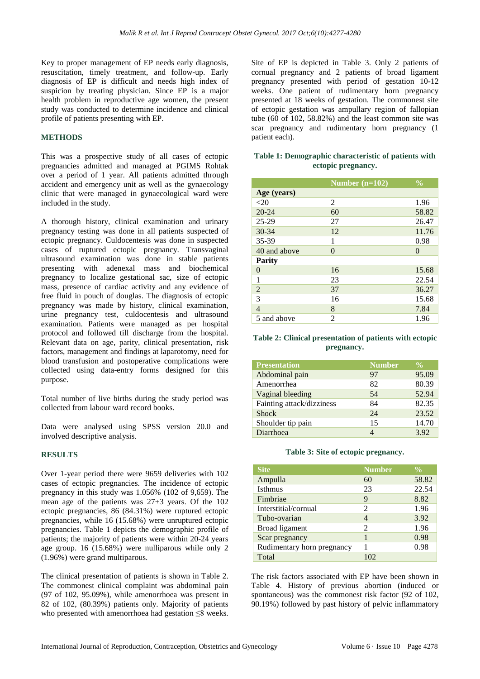Key to proper management of EP needs early diagnosis, resuscitation, timely treatment, and follow-up. Early diagnosis of EP is difficult and needs high index of suspicion by treating physician. Since EP is a major health problem in reproductive age women, the present study was conducted to determine incidence and clinical profile of patients presenting with EP.

## **METHODS**

This was a prospective study of all cases of ectopic pregnancies admitted and managed at PGIMS Rohtak over a period of 1 year. All patients admitted through accident and emergency unit as well as the gynaecology clinic that were managed in gynaecological ward were included in the study.

A thorough history, clinical examination and urinary pregnancy testing was done in all patients suspected of ectopic pregnancy. Culdocentesis was done in suspected cases of ruptured ectopic pregnancy. Transvaginal ultrasound examination was done in stable patients presenting with adenexal mass and biochemical pregnancy to localize gestational sac, size of ectopic mass, presence of cardiac activity and any evidence of free fluid in pouch of douglas. The diagnosis of ectopic pregnancy was made by history, clinical examination, urine pregnancy test, culdocentesis and ultrasound examination. Patients were managed as per hospital protocol and followed till discharge from the hospital. Relevant data on age, parity, clinical presentation, risk factors, management and findings at laparotomy, need for blood transfusion and postoperative complications were collected using data-entry forms designed for this purpose.

Total number of live births during the study period was collected from labour ward record books.

Data were analysed using SPSS version 20.0 and involved descriptive analysis.

## **RESULTS**

Over 1-year period there were 9659 deliveries with 102 cases of ectopic pregnancies. The incidence of ectopic pregnancy in this study was 1.056% (102 of 9,659). The mean age of the patients was 27±3 years. Of the 102 ectopic pregnancies, 86 (84.31%) were ruptured ectopic pregnancies, while 16 (15.68%) were unruptured ectopic pregnancies. Table 1 depicts the demographic profile of patients; the majority of patients were within 20-24 years age group. 16 (15.68%) were nulliparous while only 2 (1.96%) were grand multiparous.

The clinical presentation of patients is shown in Table 2. The commonest clinical complaint was abdominal pain (97 of 102, 95.09%), while amenorrhoea was present in 82 of 102, (80.39%) patients only. Majority of patients who presented with amenorrhoea had gestation ≤8 weeks. Site of EP is depicted in Table 3. Only 2 patients of cornual pregnancy and 2 patients of broad ligament pregnancy presented with period of gestation 10-12 weeks. One patient of rudimentary horn pregnancy presented at 18 weeks of gestation. The commonest site of ectopic gestation was ampullary region of fallopian tube (60 of 102, 58.82%) and the least common site was scar pregnancy and rudimentary horn pregnancy (1 patient each).

#### **Table 1: Demographic characteristic of patients with ectopic pregnancy.**

|                | Number $(n=102)$ | $\frac{0}{0}$ |
|----------------|------------------|---------------|
| Age (years)    |                  |               |
| $<$ 20         | $\mathfrak{D}$   | 1.96          |
| $20 - 24$      | 60               | 58.82         |
| $25 - 29$      | 27               | 26.47         |
| $30 - 34$      | 12               | 11.76         |
| 35-39          | 1                | 0.98          |
| 40 and above   | $\Omega$         | $\theta$      |
| <b>Parity</b>  |                  |               |
| $\theta$       | 16               | 15.68         |
| 1              | 23               | 22.54         |
| $\overline{2}$ | 37               | 36.27         |
| 3              | 16               | 15.68         |
| $\overline{4}$ | 8                | 7.84          |
| 5 and above    | $\overline{c}$   | 1.96          |

#### **Table 2: Clinical presentation of patients with ectopic pregnancy.**

| <b>Presentation</b>       | <b>Number</b> | $\frac{0}{0}$ |
|---------------------------|---------------|---------------|
| Abdominal pain            | 97            | 95.09         |
| Amenorrhea                | 82            | 80.39         |
| Vaginal bleeding          | 54            | 52.94         |
| Fainting attack/dizziness | 84            | 82.35         |
| <b>Shock</b>              | 24            | 23.52         |
| Shoulder tip pain         | 15            | 14.70         |
| Diarrhoea                 |               | 3.92          |

#### **Table 3: Site of ectopic pregnancy.**

| <b>Site</b>                | <b>Number</b>  | $\frac{0}{0}$ |
|----------------------------|----------------|---------------|
| Ampulla                    | 60             | 58.82         |
| <b>Isthmus</b>             | 23             | 22.54         |
| Fimbriae                   | 9              | 8.82          |
| Interstitial/cornual       | 2              | 1.96          |
| Tubo-ovarian               | 4              | 3.92          |
| Broad ligament             | $\mathfrak{D}$ | 1.96          |
| Scar pregnancy             |                | 0.98          |
| Rudimentary horn pregnancy |                | 0.98          |
| Total                      | 102            |               |

The risk factors associated with EP have been shown in Table 4. History of previous abortion (induced or spontaneous) was the commonest risk factor (92 of 102, 90.19%) followed by past history of pelvic inflammatory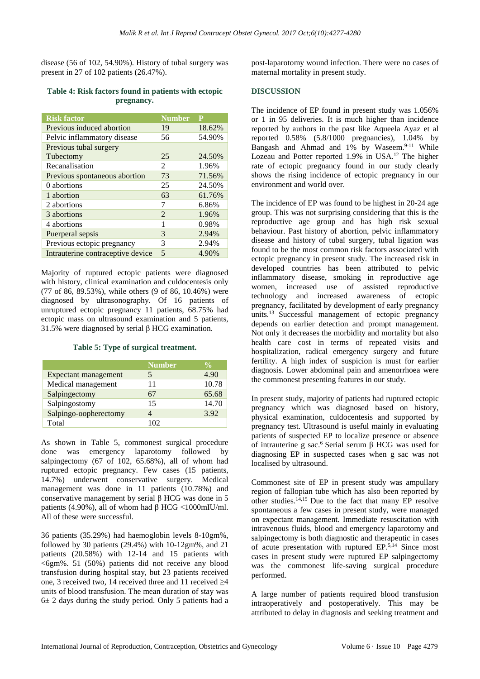disease (56 of 102, 54.90%). History of tubal surgery was present in 27 of 102 patients (26.47%).

#### **Table 4: Risk factors found in patients with ectopic pregnancy.**

| <b>Risk factor</b>                | <b>Number</b>  | P      |
|-----------------------------------|----------------|--------|
| Previous induced abortion         | 19             | 18.62% |
| Pelvic inflammatory disease       | 56             | 54.90% |
| Previous tubal surgery            |                |        |
| Tubectomy                         | 25             | 24.50% |
| Recanalisation                    | 2              | 1.96%  |
| Previous spontaneous abortion     | 73             | 71.56% |
| 0 abortions                       | 25             | 24.50% |
| 1 abortion                        | 63             | 61.76% |
| 2 abortions                       | 7              | 6.86%  |
| 3 abortions                       | $\mathfrak{D}$ | 1.96%  |
| 4 abortions                       | 1              | 0.98%  |
| Puerperal sepsis                  | 3              | 2.94%  |
| Previous ectopic pregnancy        | 3              | 2.94%  |
| Intrauterine contraceptive device | $\overline{5}$ | 4.90%  |

Majority of ruptured ectopic patients were diagnosed with history, clinical examination and culdocentesis only (77 of 86, 89.53%), while others (9 of 86, 10.46%) were diagnosed by ultrasonography. Of 16 patients of unruptured ectopic pregnancy 11 patients, 68.75% had ectopic mass on ultrasound examination and 5 patients, 31.5% were diagnosed by serial β HCG examination.

### **Table 5: Type of surgical treatment.**

|                       | <b>Number</b> | $\frac{0}{\pi}$ |
|-----------------------|---------------|-----------------|
| Expectant management  |               | 4.90            |
| Medical management    | 11            | 10.78           |
| Salpingectomy         | 67            | 65.68           |
| Salpingostomy         | 15            | 14.70           |
| Salpingo-oopherectomy |               | 3.92            |
| Total                 | 102           |                 |

As shown in Table 5, commonest surgical procedure done was emergency laparotomy followed by salpingectomy (67 of 102, 65.68%), all of whom had ruptured ectopic pregnancy. Few cases (15 patients, 14.7%) underwent conservative surgery. Medical management was done in 11 patients (10.78%) and conservative management by serial β HCG was done in 5 patients (4.90%), all of whom had  $\beta$  HCG <1000mIU/ml. All of these were successful.

36 patients (35.29%) had haemoglobin levels 8-10gm%, followed by 30 patients  $(29.4\%)$  with  $10-12gm\%$ , and  $21$ patients (20.58%) with 12-14 and 15 patients with  $\leq 6$ gm%. 51 (50%) patients did not receive any blood transfusion during hospital stay, but 23 patients received one, 3 received two, 14 received three and 11 received  $\geq 4$ units of blood transfusion. The mean duration of stay was  $6± 2$  days during the study period. Only 5 patients had a post-laparotomy wound infection. There were no cases of maternal mortality in present study.

## **DISCUSSION**

The incidence of EP found in present study was 1.056% or 1 in 95 deliveries. It is much higher than incidence reported by authors in the past like Aqueela Ayaz et al reported 0.58% (5.8/1000 pregnancies), 1.04% by Bangash and Ahmad and  $1\%$  by Waseem.<sup>9-11</sup> While Lozeau and Potter reported 1.9% in USA.<sup>12</sup> The higher rate of ectopic pregnancy found in our study clearly shows the rising incidence of ectopic pregnancy in our environment and world over.

The incidence of EP was found to be highest in 20-24 age group. This was not surprising considering that this is the reproductive age group and has high risk sexual behaviour. Past history of abortion, pelvic inflammatory disease and history of tubal surgery, tubal ligation was found to be the most common risk factors associated with ectopic pregnancy in present study. The increased risk in developed countries has been attributed to pelvic inflammatory disease, smoking in reproductive age women, increased use of assisted reproductive technology and increased awareness of ectopic pregnancy, facilitated by development of early pregnancy units.<sup>13</sup> Successful management of ectopic pregnancy depends on earlier detection and prompt management. Not only it decreases the morbidity and mortality but also health care cost in terms of repeated visits and hospitalization, radical emergency surgery and future fertility. A high index of suspicion is must for earlier diagnosis. Lower abdominal pain and amenorrhoea were the commonest presenting features in our study.

In present study, majority of patients had ruptured ectopic pregnancy which was diagnosed based on history, physical examination, culdocentesis and supported by pregnancy test. Ultrasound is useful mainly in evaluating patients of suspected EP to localize presence or absence of intrauterine g sac.<sup>6</sup> Serial serum β HCG was used for diagnosing EP in suspected cases when g sac was not localised by ultrasound.

Commonest site of EP in present study was ampullary region of fallopian tube which has also been reported by other studies. $14,15$  Due to the fact that many EP resolve spontaneous a few cases in present study, were managed on expectant management. Immediate resuscitation with intravenous fluids, blood and emergency laparotomy and salpingectomy is both diagnostic and therapeutic in cases of acute presentation with ruptured EP.5,14 Since most cases in present study were ruptured EP salpingectomy was the commonest life-saving surgical procedure performed.

A large number of patients required blood transfusion intraoperatively and postoperatively. This may be attributed to delay in diagnosis and seeking treatment and